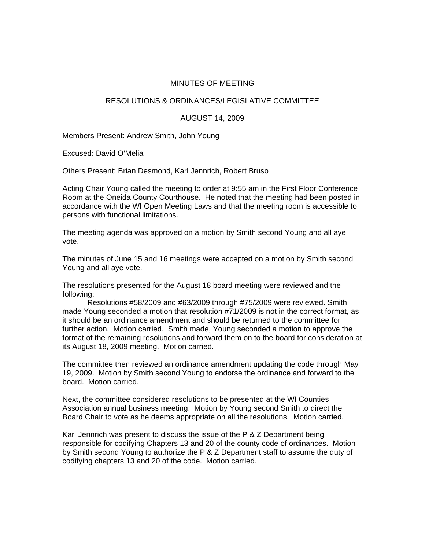## MINUTES OF MEETING

## RESOLUTIONS & ORDINANCES/LEGISLATIVE COMMITTEE

## AUGUST 14, 2009

Members Present: Andrew Smith, John Young

Excused: David O'Melia

Others Present: Brian Desmond, Karl Jennrich, Robert Bruso

Acting Chair Young called the meeting to order at 9:55 am in the First Floor Conference Room at the Oneida County Courthouse. He noted that the meeting had been posted in accordance with the WI Open Meeting Laws and that the meeting room is accessible to persons with functional limitations.

The meeting agenda was approved on a motion by Smith second Young and all aye vote.

The minutes of June 15 and 16 meetings were accepted on a motion by Smith second Young and all aye vote.

The resolutions presented for the August 18 board meeting were reviewed and the following:

 Resolutions #58/2009 and #63/2009 through #75/2009 were reviewed. Smith made Young seconded a motion that resolution #71/2009 is not in the correct format, as it should be an ordinance amendment and should be returned to the committee for further action. Motion carried. Smith made, Young seconded a motion to approve the format of the remaining resolutions and forward them on to the board for consideration at its August 18, 2009 meeting. Motion carried.

The committee then reviewed an ordinance amendment updating the code through May 19, 2009. Motion by Smith second Young to endorse the ordinance and forward to the board. Motion carried.

Next, the committee considered resolutions to be presented at the WI Counties Association annual business meeting. Motion by Young second Smith to direct the Board Chair to vote as he deems appropriate on all the resolutions. Motion carried.

Karl Jennrich was present to discuss the issue of the P & Z Department being responsible for codifying Chapters 13 and 20 of the county code of ordinances. Motion by Smith second Young to authorize the P & Z Department staff to assume the duty of codifying chapters 13 and 20 of the code. Motion carried.